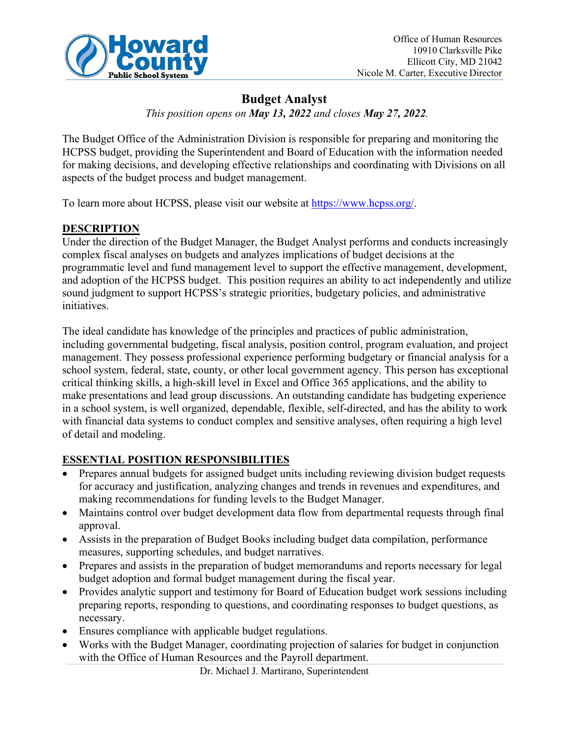

# **Budget Analyst**

*This position opens on May 13, 2022 and closes May 27, 2022.*

The Budget Office of the Administration Division is responsible for preparing and monitoring the HCPSS budget, providing the Superintendent and Board of Education with the information needed for making decisions, and developing effective relationships and coordinating with Divisions on all aspects of the budget process and budget management.

To learn more about HCPSS, please visit our website at https:/[/www.hcpss.org/.](http://www.hcpss.org/)

## **DESCRIPTION**

Under the direction of the Budget Manager, the Budget Analyst performs and conducts increasingly complex fiscal analyses on budgets and analyzes implications of budget decisions at the programmatic level and fund management level to support the effective management, development, and adoption of the HCPSS budget. This position requires an ability to act independently and utilize sound judgment to support HCPSS's strategic priorities, budgetary policies, and administrative initiatives.

The ideal candidate has knowledge of the principles and practices of public administration, including governmental budgeting, fiscal analysis, position control, program evaluation, and project management. They possess professional experience performing budgetary or financial analysis for a school system, federal, state, county, or other local government agency. This person has exceptional critical thinking skills, a high-skill level in Excel and Office 365 applications, and the ability to make presentations and lead group discussions. An outstanding candidate has budgeting experience in a school system, is well organized, dependable, flexible, self-directed, and has the ability to work with financial data systems to conduct complex and sensitive analyses, often requiring a high level of detail and modeling.

## **ESSENTIAL POSITION RESPONSIBILITIES**

- Prepares annual budgets for assigned budget units including reviewing division budget requests for accuracy and justification, analyzing changes and trends in revenues and expenditures, and making recommendations for funding levels to the Budget Manager.
- Maintains control over budget development data flow from departmental requests through final approval.
- Assists in the preparation of Budget Books including budget data compilation, performance measures, supporting schedules, and budget narratives.
- Prepares and assists in the preparation of budget memorandums and reports necessary for legal budget adoption and formal budget management during the fiscal year.
- Provides analytic support and testimony for Board of Education budget work sessions including preparing reports, responding to questions, and coordinating responses to budget questions, as necessary.
- Ensures compliance with applicable budget regulations.
- Works with the Budget Manager, coordinating projection of salaries for budget in conjunction with the Office of Human Resources and the Payroll department.

Dr. Michael J. Martirano, Superintendent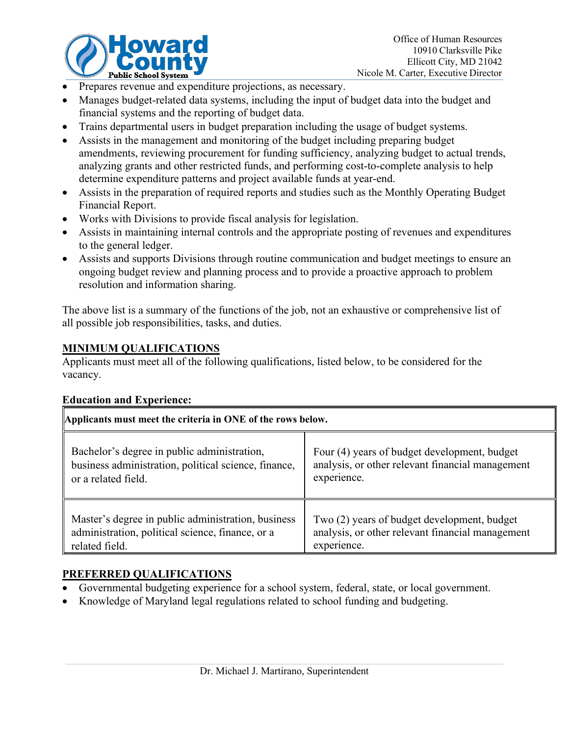

- Prepares revenue and expenditure projections, as necessary.
- Manages budget-related data systems, including the input of budget data into the budget and financial systems and the reporting of budget data.
- Trains departmental users in budget preparation including the usage of budget systems.
- Assists in the management and monitoring of the budget including preparing budget amendments, reviewing procurement for funding sufficiency, analyzing budget to actual trends, analyzing grants and other restricted funds, and performing cost-to-complete analysis to help determine expenditure patterns and project available funds at year-end.
- Assists in the preparation of required reports and studies such as the Monthly Operating Budget Financial Report.
- Works with Divisions to provide fiscal analysis for legislation.
- Assists in maintaining internal controls and the appropriate posting of revenues and expenditures to the general ledger.
- Assists and supports Divisions through routine communication and budget meetings to ensure an ongoing budget review and planning process and to provide a proactive approach to problem resolution and information sharing.

The above list is a summary of the functions of the job, not an exhaustive or comprehensive list of all possible job responsibilities, tasks, and duties.

### **MINIMUM QUALIFICATIONS**

Applicants must meet all of the following qualifications, listed below, to be considered for the vacancy.

#### **Education and Experience:**

| Applicants must meet the criteria in ONE of the rows below. |                                                  |
|-------------------------------------------------------------|--------------------------------------------------|
| Bachelor's degree in public administration,                 | Four (4) years of budget development, budget     |
| business administration, political science, finance,        | analysis, or other relevant financial management |
| or a related field.                                         | experience.                                      |
| Master's degree in public administration, business          | Two (2) years of budget development, budget      |
| administration, political science, finance, or a            | analysis, or other relevant financial management |
| related field.                                              | experience.                                      |

### **PREFERRED QUALIFICATIONS**

- Governmental budgeting experience for a school system, federal, state, or local government.
- Knowledge of Maryland legal regulations related to school funding and budgeting.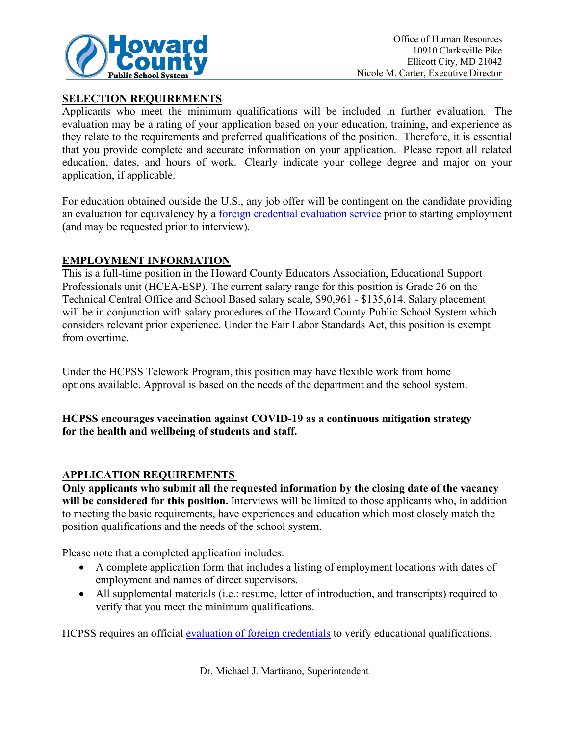

#### **SELECTION REQUIREMENTS**

Applicants who meet the minimum qualifications will be included in further evaluation. The evaluation may be a rating of your application based on your education, training, and experience as they relate to the requirements and preferred qualifications of the position. Therefore, it is essential that you provide complete and accurate information on your application. Please report all related education, dates, and hours of work. Clearly indicate your college degree and major on your application, if applicable.

For education obtained outside the U.S., any job offer will be contingent on the candidate providing an evaluation for equivalency by a [foreign credential evaluation service](https://www.marylandpublicschools.org/about/Pages/DEE/Certification/Foreign-Transcript-Evaluation-Agencies.aspx) prior to starting employment (and may be requested prior to interview).

#### **EMPLOYMENT INFORMATION**

This is a full-time position in the Howard County Educators Association, Educational Support Professionals unit (HCEA-ESP). The current salary range for this position is Grade 26 on the Technical Central Office and School Based salary scale, \$90,961 - \$135,614. Salary placement will be in conjunction with salary procedures of the Howard County Public School System which considers relevant prior experience. Under the Fair Labor Standards Act, this position is exempt from overtime.

Under the HCPSS Telework Program, this position may have flexible work from home options available. Approval is based on the needs of the department and the school system.

#### **HCPSS encourages vaccination against COVID-19 as a continuous mitigation strategy for the health and wellbeing of students and staff.**

#### **APPLICATION REQUIREMENTS**

**Only applicants who submit all the requested information by the closing date of the vacancy will be considered for this position.** Interviews will be limited to those applicants who, in addition to meeting the basic requirements, have experiences and education which most closely match the position qualifications and the needs of the school system.

Please note that a completed application includes:

- A complete application form that includes a listing of employment locations with dates of employment and names of direct supervisors.
- All supplemental materials (i.e.: resume, letter of introduction, and transcripts) required to verify that you meet the minimum qualifications.

HCPSS requires an official [evaluation of foreign credentials](http://www.marylandpublicschools.org/about/Pages/DEE/Certification/Foreign-Transcript-Evaluation-Agencies.aspx) to verify educational qualifications.